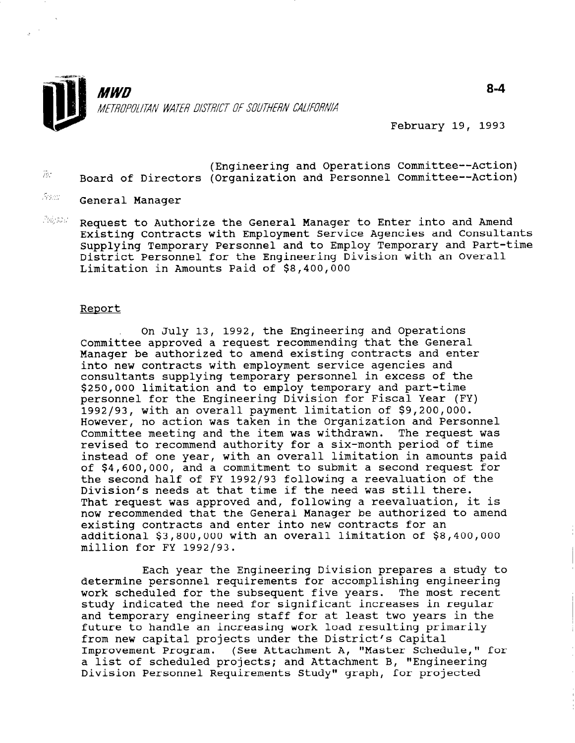

February 19, 1993

- (Engineering and Operations Committee--Action)<br>(Committee-Action) (Committee and Dersannel Committee-Action) Board of Directors (Organization and Personnel Committee--Action)
- $\sqrt[5]{z}$  General Manager
- $\frac{2\pi i}{2}$  . Request to Authorize the General Manager to Enter into and Amend Existing Contracts with Employment Service Agencies and Consultants Supplying Temporary Personnel and to Employ Temporary and Part-time District Personnel for the Engineering Division with an Overall Limitation in Amounts Paid of \$8,400,000

#### Report

On July 13, 1992, the Engineering and Operations Committee approved a request recommending that the General Manager be authorized to amend existing contracts and enter into new contracts with employment service agencies and consultants supplying temporary personnel in excess of the \$250,000 limitation and to employ temporary and part-time personnel for the Engineering Division for Fiscal Year (FY) 1992193, with an overall payment limitation of \$9,200,000. However, no action was taken in the Organization and Personnel Committee meeting and the item was withdrawn. The request was revised to recommend authority for a six-month period of time instead of one year, with an overall limitation in amounts paid of \$4,600,000, and a commitment to submit a second request for the second half of FY 1992/93 following a reevaluation of the Division's needs at that time if the need was still there. That request was approved and, following a reevaluation, it is now recommended that the General Manager be authorized to amend existing contracts and enter into new contracts for an additional \$3,800,000 with an overall limitation of \$8,400,000 million for FY 1992/93.

Each year the Engineering Division prepares a study to determine personnel requirements for accomplishing engineering wetermine personner requirements for accomprishing engineering work scheduled for the subsequent five years. The most recording study indicated the need for significant increases in regular<br>and temporary engineering staff for at least two years in the future to handle an increasing work load resulting primarily future to handle an increasing work load resulting p Improvement Program. (See Attachment A, "Master Schedule," for a list of scheduled program. (See Attachment A, "Master Schedule a list of scheduled projects; and Attachment B, "Engineering<br>Division Personnel Requirements Study" graph, for projected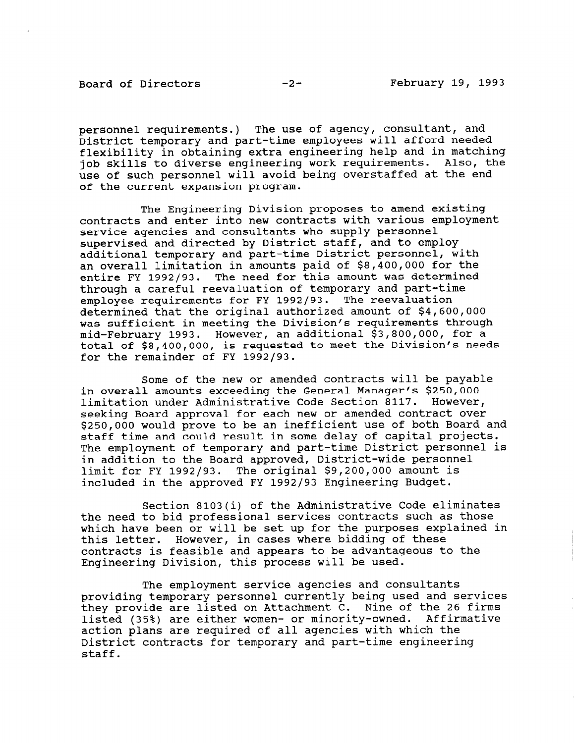Board of Directors -2- February 19, 1993

personnel requirements.) The use of agency, consultant, and District temporary and part-time employees will afford needed flexibility in obtaining extra engineering help and in matching job skills to diverse engineering work requirements. Also, the use of such personnel will avoid being overstaffed at the end of the current expansion program.

The Engineering Division proposes to amend existing contracts and enter into new contracts with various employment service agencies and consultants who supply personnel supervised and directed by District staff, and to employ additional temporary and part-time District personnel, with an overall limitation in amounts paid of \$8,400,000 for the entire FY 1992/93. The need for this amount was determined through a careful reevaluation of temporary and part-time employee requirements for FY 1992/93. The reevaluation determined that the original authorized amount of \$4,600,000 was sufficient in meeting the Division's requirements through mid-February 1993. However, an additional \$3,800,000, for a total of \$8,400,000, is requested to meet the Division's needs for the remainder of FY 1992/93.

Some of the new or amended contracts will be payable in overall amounts exceeding the General Manager's \$250,000 limitation under Administrative Code Section 8117. However, seeking Board approval for each new or amended contract over \$250,000 would prove to be an inefficient use of both Board and staff time and could result in some delay of capital projects. The employment of temporary and part-time District personnel is in addition to the Board approved, District-wide personnel limit for FY 1992/93. The original \$9,200,000 amount is included in the approved FY 1992/93 Engineering Budget.

Section 8103(i) of the Administrative Code eliminates the need to bid professional services contracts such as those which have been or will be set up for the purposes explained in this letter. However, in cases where bidding of these contracts is feasible and appears to be advantageous to the Engineering Division, this process will be used.

The employment service agencies and consultants providing temporary personnel currently being used and services they provide are listed on Attachment C. Nine of the 26 firms listed (35%) are either women- or minority-owned. Affirmative action plans are required of all agencies with which the action plans are required of all agencies with which the District contracts for temporary and part-time engineering<br>staff.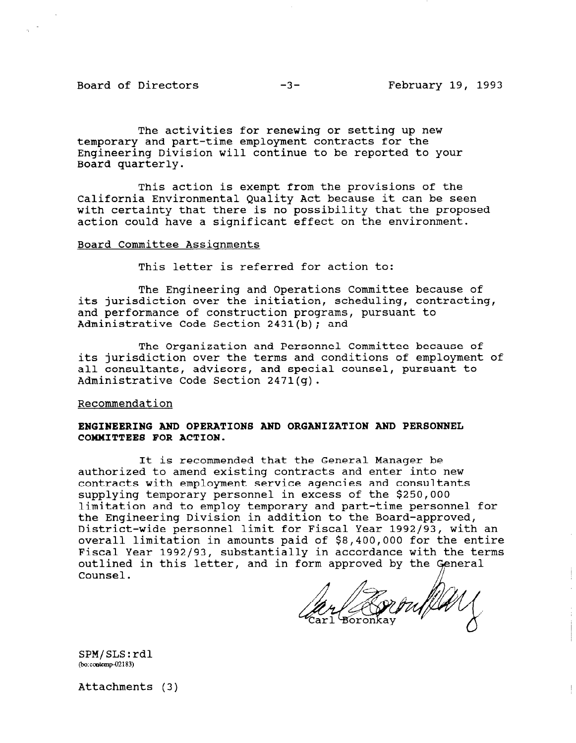Board of Directors -3- February 19, 1993

The activities for renewing or setting up new temporary and part-time employment contracts for the Engineering Division will continue to be reported to your Board quarterly.

This action is exempt from the provisions of the California Environmental Quality Act because it can be seen with certainty that there is no possibility that the proposed action could have a significant effect on the environment.

# Board Committee Assignments

This letter is referred for action to:

The Engineering and Operations Committee because of its jurisdiction over the initiation, scheduling, contracting, and performance of construction programs, pursuant to Administrative Code Section 2431(b); and

The Organization and Personnel Committee because of its jurisdiction over the terms and conditions of employment of all consultants, advisors, and special counsel, pursuant to Administrative Code Section 2471(g).

### Recommendation

# ENGINEERING AND OPERATIONS AND ORGANIZATION AND PERSONNEL COMMITTEES FOR ACTION.

It is recommended that the General Manager be authorized to amend existing contracts and enter into new contracts with employment service agencies and consultants supplying temporary personnel in excess of the \$250,000 limitation and to employ temporary and part-time personnel for the Engineering Division in addition to the Board-approved, District-wide personnel limit for Fiscal Year 1992/93, with an overall limitation in amounts paid of \$8,400,000 for the entire Fiscal Year 1992/93, substantially in accordance with the terms outlined in this letter, and in form approved by the General Counsel.

rouflay

 $SPM/SLS: r$ 

Attachments (3)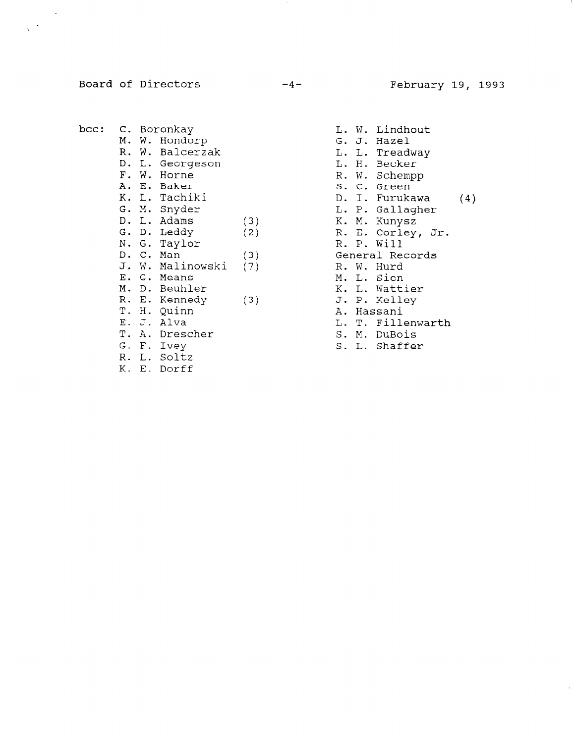Board of Directors -4- February 19, 1993

 $\frac{1}{2}$  .

- bee: C. Boronkay M. W. Hondorp R. W. Balcerzak D. L. Georges F. W. Horne A. E. Baker K. L. Tachiki G. M. Snyder D. L. Adams (3) G. D. Leddy (2) N. G. Tayl  $D. C. Man$  (3) J. W. Malinowski (7) E. G. Means M. D. Beuhler R. E. Kennedy (3) T. H. Quinn E. J. Alva T. A. Drescher G. F. Ivey R. L. so1tz K. E. Dorff
- L. W. Lindhout G. J. Hazel L. L. Treadway L. H. Becker R. W. Schempp s. c. Green D. I. Furukawa L. P. Gallagher K. M. Kunysz R. E. Corley, Jr. R. P. Will General Records R. W. Hurd M. L. Sien K. L. Wattier J. P. Kelley A. Hassani L. T. Fillenwarth S. M. DuBois S. L. Shaffer (4)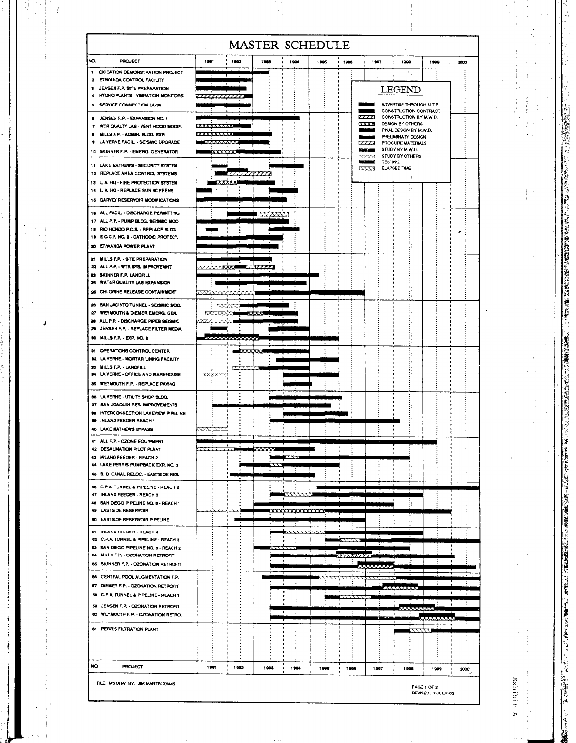|                                                                                |                        |                     |         |                         | <b>MASTER SCHEDULE</b> |                 |               |                |                                                   |      |      |
|--------------------------------------------------------------------------------|------------------------|---------------------|---------|-------------------------|------------------------|-----------------|---------------|----------------|---------------------------------------------------|------|------|
| Ю<br><b>PROJECT</b>                                                            | 1991                   | 1992                | 1983    | 1994                    | 1995                   | $1 - 1906$      | 1997          |                | 1990                                              | 1800 | 2000 |
| 1 CIGIDATION DEMONSTRATION PROJECT<br>2 ETIWANDA CONTROL FACILITY              |                        |                     |         |                         |                        |                 |               | ٠              | ÷.                                                |      |      |
| <b>3 JENSEN F.P. SITE PREPARATION</b>                                          |                        |                     |         |                         |                        |                 |               |                | <b>LEGEND</b>                                     |      |      |
| HYDRO PLANTS - VIBRATION MONITORS<br>٠                                         | ,,,,,,,,,,,,           |                     |         |                         |                        |                 |               |                |                                                   |      |      |
| <b>5 SERVICE CONNECTION LA-36</b>                                              |                        |                     |         |                         |                        |                 | ستنتظ         |                | ADVERTISE THROUGH N.T.P.<br>CONSTRUCTION CONTRACT |      |      |
| 6 JENSEN F.P. - EXPANSION NO. 1                                                |                        |                     |         |                         |                        |                 | $\alpha x$    |                | CONSTRUCTION BY M.W.D.                            |      |      |
| 7 WIR QUALITY LAB - VENT HOOD MODIF.                                           | ***********            |                     |         |                         |                        |                 | $\sim$        |                | DESIGN BY OTHERS<br>FINAL DESIGN BY M.W.D.        |      |      |
| MILLS F.P. - ADMIN. BLOG. EXP.<br><b>9 LA VERNE FACIL - SEISMIC UPGRADE</b>    | *********              | <b><i>Kimma</i></b> |         |                         |                        |                 | $\alpha a$    |                | PFELIMINARY DESIGN<br>PROCURE MATERIALS           |      |      |
| 10 SKINNER F.P. - EMERG. GENERATOR                                             |                        | <b>XXXXXXX</b>      |         |                         |                        |                 | <b>DATE</b>   |                | STUDY BY MW.D.                                    |      |      |
|                                                                                |                        |                     |         |                         |                        |                 | 22.23         | <b>TESTING</b> | STUDY BY OTHERS                                   |      |      |
| 11 LAKE MATHEWS - SECURITY SYSTEM<br>12 REPLACE AREA CONTROL SYSTEMS           |                        |                     |         |                         |                        |                 | <i>cccc</i> a |                | ELAPSED TIME                                      |      |      |
| 13 L.A. HQ - FIRE PROTECTION SYSTEM                                            |                        | aan                 |         |                         |                        |                 |               |                |                                                   |      |      |
| 14 L.A. HQ - REPLACE SUN SCREENS                                               |                        |                     |         |                         |                        |                 |               |                |                                                   |      |      |
| 15 GARYEY RESERVOIR MOONFICATIONS                                              |                        |                     |         |                         |                        |                 |               |                |                                                   |      |      |
| 18 ALL FACIL - DISCHARGE PERMITTING                                            |                        |                     | UTTEK S |                         |                        |                 |               |                |                                                   |      |      |
| 17 ALL P.P. - PUMP BLDG, SEISMIC MOD                                           |                        |                     |         |                         |                        |                 |               |                |                                                   |      |      |
| 18 RIO HONDO P.C.S. - REPLACE BLDG<br>10 E.O.C.F. NO. 2 - CATHODIC PROTECT.    |                        |                     |         |                         |                        |                 |               |                |                                                   |      |      |
| 20 ETIWANDA POWER PLANT                                                        |                        |                     |         |                         |                        |                 |               |                | ÷.                                                |      |      |
|                                                                                |                        |                     |         |                         |                        |                 |               |                |                                                   |      |      |
| 21 MILLS F.P. - SITE PREPARATION<br>22 ALL P.P. - WTR BYS. IMPROVEMNT          | <b>Andrew Contract</b> |                     |         |                         |                        |                 |               |                |                                                   |      |      |
| 23 SKINNER F.P. LANDFILL                                                       |                        |                     |         |                         |                        |                 |               |                |                                                   |      |      |
| 24 WATER QUALITY LAB EXPANSION                                                 |                        | $\blacksquare$      |         |                         |                        |                 |               |                |                                                   |      |      |
| 36 CHLORINE RELEASE CONTAINMENT                                                | <b>MARANT</b> I        |                     |         |                         |                        |                 |               |                |                                                   |      |      |
| 26 SAN JACINTO TUNNEL - SEISMIC MOO.                                           |                        | <b>FOR THE R</b>    |         |                         |                        |                 |               |                |                                                   |      |      |
| 27 WEYMOUTH & DIEMER EMERG, GEN.                                               | <b>EXECUTIVE</b>       |                     |         |                         |                        |                 |               |                |                                                   |      |      |
| 28 ALL P.P. - DISCHARGE PIPER BEISMIC<br>29 JENSEN F.P. - REPLACE FILTER MEDIA |                        |                     |         |                         |                        |                 |               |                |                                                   |      |      |
| 30 MILLS F.P. - EXP. NO. 2                                                     |                        | .                   |         |                         |                        |                 |               |                |                                                   |      |      |
|                                                                                |                        |                     |         |                         |                        |                 |               |                |                                                   |      |      |
| 21 OPERATIONS CONTROL CENTER<br>32 LA VERNE - MORTAR LINING FACILITY           |                        |                     | 233333  |                         |                        |                 |               |                |                                                   |      |      |
| 33 MILLS F.P. - LANDFILL                                                       |                        | ↸                   |         |                         |                        |                 |               |                |                                                   |      |      |
| 34 LA VERNE - OFFICE AND WAREHOUSE                                             | <b>PERSONAL</b>        |                     |         |                         |                        |                 |               |                |                                                   |      |      |
| 36 WEYNOUTH F.P. - REPLACE PAYING                                              |                        |                     |         |                         |                        |                 |               |                |                                                   |      |      |
| 36 LA VERNE - UTILITY SHOP BLDG.                                               |                        |                     |         |                         |                        |                 |               |                |                                                   |      |      |
| 37 SAN JOAQUIN RES. IMPROVEMENTS<br>30 INTERCONNECTION LAKEVIEW PIPELINE       |                        |                     |         |                         |                        |                 |               |                |                                                   |      |      |
| 39 INLAND FEEDER REACH 1                                                       |                        |                     |         |                         |                        |                 |               |                |                                                   |      |      |
| 40 LAKE MATHEWS BYPASS                                                         | فتقع                   |                     |         |                         |                        |                 |               |                |                                                   |      |      |
| 41 ALL F.P. - OZONE EQUIPMENT                                                  |                        |                     |         |                         |                        |                 |               |                |                                                   |      |      |
| 42 DESALINATION PILOT PLANT                                                    | $\overline{1111}$      |                     | 66666   |                         |                        |                 |               |                |                                                   |      |      |
| 43 INLAND FEEDER - REACH 2<br>44 LAKE PERRIS PUMPBACK EXP, NO. 3               |                        |                     |         |                         |                        |                 |               |                |                                                   |      |      |
| 45 S. D. CANAL RELOC. - EASTSIDE RES.                                          |                        |                     |         |                         |                        |                 |               |                |                                                   |      |      |
|                                                                                |                        |                     |         |                         |                        |                 |               |                |                                                   |      |      |
| 46 C.P.A. TUNNEL & PIPELINE - REACH 2<br>47 INLAND FEEDER - REACH 3            |                        |                     |         |                         |                        |                 |               |                |                                                   |      |      |
| 48 SAN DIEGO PIPELINE NO. 8 - REACH 1                                          |                        |                     |         |                         |                        |                 |               |                |                                                   |      |      |
| 49 EASTSIDE RESERVOIR                                                          |                        |                     |         | <b>TOO COOL TOO TOO</b> |                        |                 |               |                |                                                   |      |      |
| 80 EASTSIDE RESERVOIR PIPELINE                                                 |                        |                     |         |                         |                        |                 |               |                |                                                   |      |      |
| 81 INLAND FEEDER - REACH 4                                                     |                        |                     |         | ******                  |                        |                 |               |                |                                                   |      |      |
| 52 C.P.A. TUNNEL & PIPELINE - REACH 3<br>63 SAN DIEGO PIPELINE NO. 8 - REACH 2 |                        |                     |         |                         |                        |                 |               |                |                                                   |      |      |
| 54 MILLS F.P. - OZONATION RETROFIT                                             |                        |                     |         |                         |                        | <b>XXXXXXXX</b> |               |                |                                                   |      |      |
| 56 SKINNER F.P. - OZONATION RETROFIT                                           |                        |                     |         |                         |                        |                 | 222222222     |                |                                                   |      |      |
| 56 CENTRAL POOL AUGMENTATION F.P.                                              |                        |                     |         |                         | ,,,,,,,,,              |                 |               |                |                                                   |      |      |
| 57 DIEMER F.P. - OZONATION RETROFIT                                            |                        |                     |         |                         |                        |                 |               |                |                                                   |      |      |
| 50 C.P.A. TUNNEL & PIPELINE - REACH 1                                          |                        |                     |         |                         |                        |                 |               |                |                                                   |      |      |
| 59 JENSEN F.P. - OZONATION RETROFIT                                            |                        |                     |         |                         |                        |                 |               |                | <b>MAMMAN</b>                                     |      |      |
| 80 WEYMOUTH F.P. - OZONATION RETRO.                                            |                        |                     |         |                         |                        | $\mathbf{r}$    |               | مستوا          |                                                   |      |      |
| 61 PERRIS FILTRATION PLANT                                                     |                        |                     |         |                         |                        |                 |               |                |                                                   |      |      |
|                                                                                |                        |                     |         |                         |                        |                 |               |                | $\overline{ATLLA}$                                |      |      |
|                                                                                |                        |                     |         |                         |                        |                 |               |                |                                                   |      |      |
|                                                                                |                        |                     |         |                         |                        |                 |               |                |                                                   |      |      |
| NO.<br><b>PROJECT</b>                                                          | 1991                   | 1992                | 1993    | 1994                    | 1996                   | 1996            |               | 1997           | 1998                                              | 1999 | 2000 |
|                                                                                |                        |                     |         |                         |                        |                 |               |                |                                                   |      |      |

 $\mathbb{R}^2$ 

i.

 $\frac{1}{2}$ 

 $\ddot{\phantom{0}}$ 

Ć,

 $\frac{1}{2}$ 

 $\frac{1}{4}$ Ŷ,

 $\begin{array}{c} 1 \\ 1 \\ 1 \end{array}$ 

The company of

 $\begin{array}{c} \frac{1}{2} \\ \frac{1}{2} \end{array}$  $\ddot{\phantom{1}}$  $\frac{1}{2}$ 

 $\ddot{\phantom{0}}$ 

Exhibit A

 $\begin{array}{c} \bullet \\ \bullet \\ \bullet \end{array}$ 

计可变 计生态

 $\bar{\mathcal{A}}$ 

þ,

 $\mathbf{r}$ 

 $\cdot \cdot$ 

i.<br>S

 $\lambda$ 

 $\frac{1}{\sqrt{2}}$ 

į

The contract of the contract of the contract of the contract of the contract of the contract of the contract of the contract of the contract of the contract of the contract of the contract of the contract of the contract

 $\frac{1}{2}$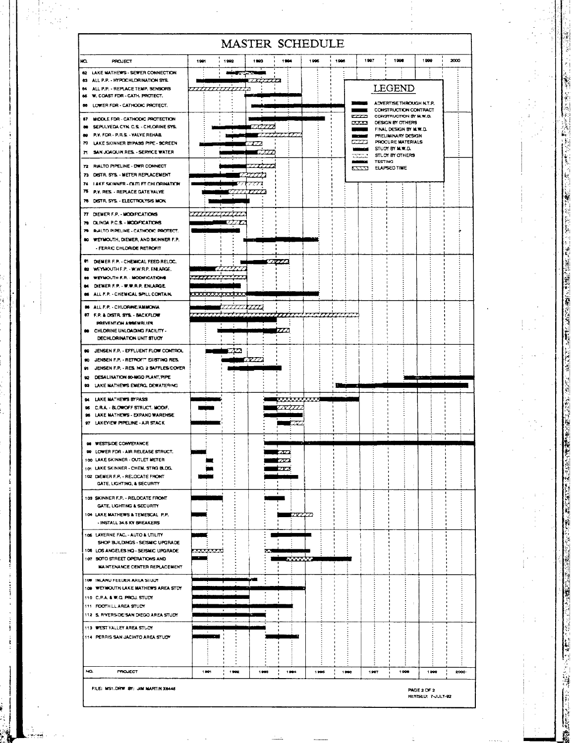|                                                                                                                                                                                                             | <b>MASTER SCHEDULE</b>   |                                 |                                                                                                                                                                                                 |                   |                                       |      |  |  |
|-------------------------------------------------------------------------------------------------------------------------------------------------------------------------------------------------------------|--------------------------|---------------------------------|-------------------------------------------------------------------------------------------------------------------------------------------------------------------------------------------------|-------------------|---------------------------------------|------|--|--|
| NO.<br><b>PROJECT</b>                                                                                                                                                                                       | 1991<br>1992             | 1903<br>1904                    | 1996                                                                                                                                                                                            | 1997<br>1996      | 1908                                  | 1999 |  |  |
| 62 LAKE MATHEWS - SEWER CONNECTION<br>63 ALL P.P. - HYPOCHLORINATION SYS.<br>64 ALL P.P. - REPLACE TEMP. SENSORS<br>66 W. COAST FDR - CATH. PROTECT.<br>66 LOWER FDR - CATHODIC PROTECT.                    | وجاسه<br>,,,,,,,,,,,,,,, |                                 |                                                                                                                                                                                                 |                   | LEGEND<br>ADVERTISE THROUGH N.T.P.    |      |  |  |
| 67 MIDDLE FDR - CATHODIC PROTECTION<br>60 SEPULYEDA CYN. C.S. - CHLORINE SYS.<br>89 P.V. FDR - P.R.S. - VALVE REHABL<br>70 LAKE SKINNER BYPASS PIPE - SCREEN<br>71 SAN JOACUIN RES. - SERVICE WATER         |                          |                                 | CONSTRUCTION CONTRACT<br>CONSTRUCTION BY M.W.D.<br>DESIGN BY OTHERS<br>5555<br>FINAL DESIGN BY M.W.D.<br>PRELIMINARY DESIGN<br>PROCURE MATERIALS<br>677.A<br>STUDY BY M.W.D.<br>STUDY BY OTHERS |                   |                                       |      |  |  |
| 72 RIALTO PIPELINE - DWR CONNECT<br>73 DISTR. SYS. - METER REPLACEMENT<br>74 LAKE SKINNER - OUTLET CHLORINATION<br>76 P.V. RES. - REPLACE GATE VALVE<br>78 DISTR. SYS. ELECTROLYSIS MON.                    |                          | 7777                            |                                                                                                                                                                                                 | - - - - - - - -   | <b>TESTING</b><br><b>ELAPSED TIME</b> |      |  |  |
| 77 DIEMER F.P. - MODIFICATIONS<br>79 OLINDA P.C.S. - MODIFICATIONS<br>79 RALTO PIPELINE - CATHODIC PROTECT.<br>80 WEYMOUTH, DIEMER, AND SKINNER F.P.<br>- FERRIC CHLORIDE RETROFIT                          |                          |                                 |                                                                                                                                                                                                 |                   |                                       |      |  |  |
| <b>01 DIEMER F.P. - CHEMICAL FEED RELOC.</b><br><b>82 WEYMOUTH F.P. - W.W.R.P. ENLARGE.</b><br>83 WEYNOUTH F.P. - MODIFICATIONS<br>DIEMER F.P. - W.W.R.P. ENLARGE<br>06 ALL F.P. - CHEMICAL SPILL CONTAIN.  | <u> TITLE</u>            | <b>ZYZZA</b>                    |                                                                                                                                                                                                 |                   |                                       |      |  |  |
| <b>88 ALL F.P. - CHLORINE/AMMONIA</b><br>#7 F.P. & DISTR. SYS. - BACKFLOW<br>PREVENTION ASSEMBLIES<br>80 CHLORINE UNLOADING FACILITY -<br>DECHLORINATION UNIT STUDY                                         |                          | 777777777<br>,,,,,              |                                                                                                                                                                                                 |                   |                                       |      |  |  |
| 89 JENSEN F.P. - EFFLUENT FLOW CONTROL<br>90 JENSEN F.P. - RETROFT EXISTING RES.<br>JENSEN F.P. - RES. NO. 2 BAFFLES COVER<br>91<br>92 DESALINATION 50-MGD PLANT, PIPE<br>93 LAKE MATHEWS EMERG. DEWATERING | æ                        | ana a                           |                                                                                                                                                                                                 | <b>START OF A</b> |                                       |      |  |  |
| 94 LAKE MATHEWS BYPASS<br>95 C.R.A. - BLOWOFF STRUCT, MODIF.<br>96 LAKE MATHEWS - EXPAND WAREHSE<br>97 LAKEVIEW PIPELINE - AIR STACK                                                                        |                          |                                 | ∞<br>متعاشقا                                                                                                                                                                                    |                   |                                       |      |  |  |
| 98 WESTSIDE CONVEYANCE<br>99 LOWER FDR - AIR RELEASE STRUCT.<br>100 LAKE SKINNER - OUTLET METER<br>101 LAKE SKINNER - CHEM. STRG BLOG.<br>102 DIEMER F.P. - RELOCATE FRONT<br>GATE, LIGHTING, & SECURITY    |                          | $\mathbf{\varpi}$<br>222<br>774 |                                                                                                                                                                                                 |                   | ÷                                     |      |  |  |
| 103 SKINNER F.P. - RELOCATE FRONT<br>GATE, LIGHTING & SECURITY<br>104 LAKE MATHEWS & TEMESCAL P.P.<br>- INSTALL 34.6 KV BREAKERS                                                                            |                          | $\bullet$                       | <b>IRICO</b>                                                                                                                                                                                    |                   |                                       |      |  |  |
| 105 LAVERNE FAC. - AUTO & UTILITY<br>SHOP BUILDINGS - SEISMIC UPGRADE<br>106 LOS ANGELES HQ - SEISMIC UPGRADE<br>107 SOTO STREET OPERATIONS AND<br><b>MAINTENANCE CENTER REPLACEMENT</b>                    | 522223223                | Г.                              | <b>WWW.</b>                                                                                                                                                                                     |                   |                                       |      |  |  |
| 108 INLAND FEEDER AREA STUDY<br>100 WEYMOUTH LAKE MATHEWS AREA STOY<br>110 C.P.A. & W.Q. PROJ. STUDY<br>111 FOOTHILL AREA STUDY<br>112 S. RYERSIDE SAN DIEGO AREA STUDY                                     | $\mathbf{v}$             | الكاترة                         |                                                                                                                                                                                                 |                   | $\ddot{\phantom{a}}$                  |      |  |  |
| 113 WEST VALLEY AREA STUDY<br>114 PERRIS SAN JACINTO AREA STUDY                                                                                                                                             | em p                     |                                 |                                                                                                                                                                                                 |                   |                                       |      |  |  |
| NO.<br><b>PROJECT</b>                                                                                                                                                                                       | 1991<br>1992             | 1993<br>1904                    | 1995                                                                                                                                                                                            | 1998<br>1907      | 1908                                  | 1909 |  |  |

**Contract of the Contract of the Contract of the Contract of the Contract of the Contract of the Contract of the Contract of the Contract of the Contract of the Contract of the Contract of The Contract of The Contract of T** 

**West States** 

 $\mathcal{L}^{\mathcal{L}}$ 

的。""我们,你们的,你们的,你们也不能会在我们的,我们也不能会在我们的,我们也不能会在这里,我们也不能会在这里,我们的,我们也不能会在这里,我们的,我们也不能会在这里,我们也不能会在这里,我们,我们

 $\frac{1}{2}$ 

 $\frac{1}{2}$ 

 $\frac{1}{2}$ 

 $\frac{1}{2}$ 

 $\begin{bmatrix} 1 & 0 & 0 \\ 0 & 0 & 0 \\ 0 & 0 & 0 \\ 0 & 0 & 0 \\ 0 & 0 & 0 \\ 0 & 0 & 0 \\ 0 & 0 & 0 \\ 0 & 0 & 0 \\ 0 & 0 & 0 & 0 \\ 0 & 0 & 0 & 0 \\ 0 & 0 & 0 & 0 \\ 0 & 0 & 0 & 0 \\ 0 & 0 & 0 & 0 & 0 \\ 0 & 0 & 0 & 0 & 0 \\ 0 & 0 & 0 & 0 & 0 \\ 0 & 0 & 0 & 0 & 0 & 0 \\ 0 & 0 & 0 & 0 & 0 & 0 \\ 0 & 0 & 0 & 0 &$ 

 $\frac{1}{2}$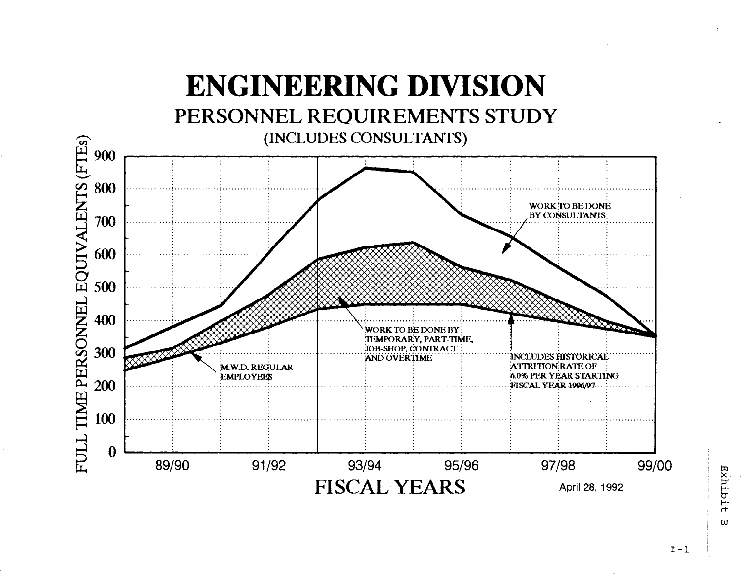

 $\overline{\omega}$ 

 $I - 1$